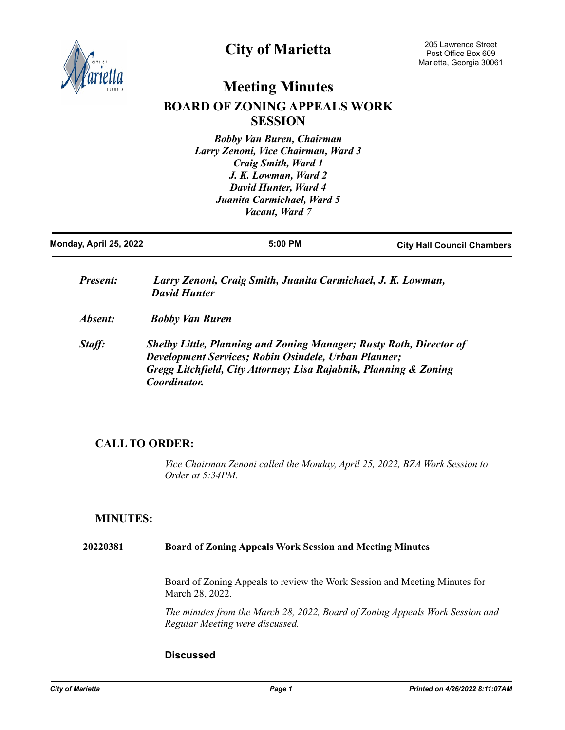

# **City of Marietta**

# **Meeting Minutes BOARD OF ZONING APPEALS WORK SESSION**

*Bobby Van Buren, Chairman Larry Zenoni, Vice Chairman, Ward 3 Craig Smith, Ward 1 J. K. Lowman, Ward 2 David Hunter, Ward 4 Juanita Carmichael, Ward 5 Vacant, Ward 7*

| Monday, April 25, 2022 | $5:00$ PM                                                                                                                                                                                                                      | <b>City Hall Council Chambers</b> |
|------------------------|--------------------------------------------------------------------------------------------------------------------------------------------------------------------------------------------------------------------------------|-----------------------------------|
| <i>Present:</i>        | Larry Zenoni, Craig Smith, Juanita Carmichael, J. K. Lowman,<br><b>David Hunter</b>                                                                                                                                            |                                   |
| Absent:                | <b>Bobby Van Buren</b>                                                                                                                                                                                                         |                                   |
| Staff:                 | <b>Shelby Little, Planning and Zoning Manager; Rusty Roth, Director of</b><br>Development Services; Robin Osindele, Urban Planner;<br>Gregg Litchfield, City Attorney; Lisa Rajabnik, Planning & Zoning<br><i>Coordinator.</i> |                                   |

## **CALL TO ORDER:**

*Vice Chairman Zenoni called the Monday, April 25, 2022, BZA Work Session to Order at 5:34PM.*

## **MINUTES:**

### **20220381 Board of Zoning Appeals Work Session and Meeting Minutes**

Board of Zoning Appeals to review the Work Session and Meeting Minutes for March 28, 2022.

*The minutes from the March 28, 2022, Board of Zoning Appeals Work Session and Regular Meeting were discussed.*

## **Discussed**